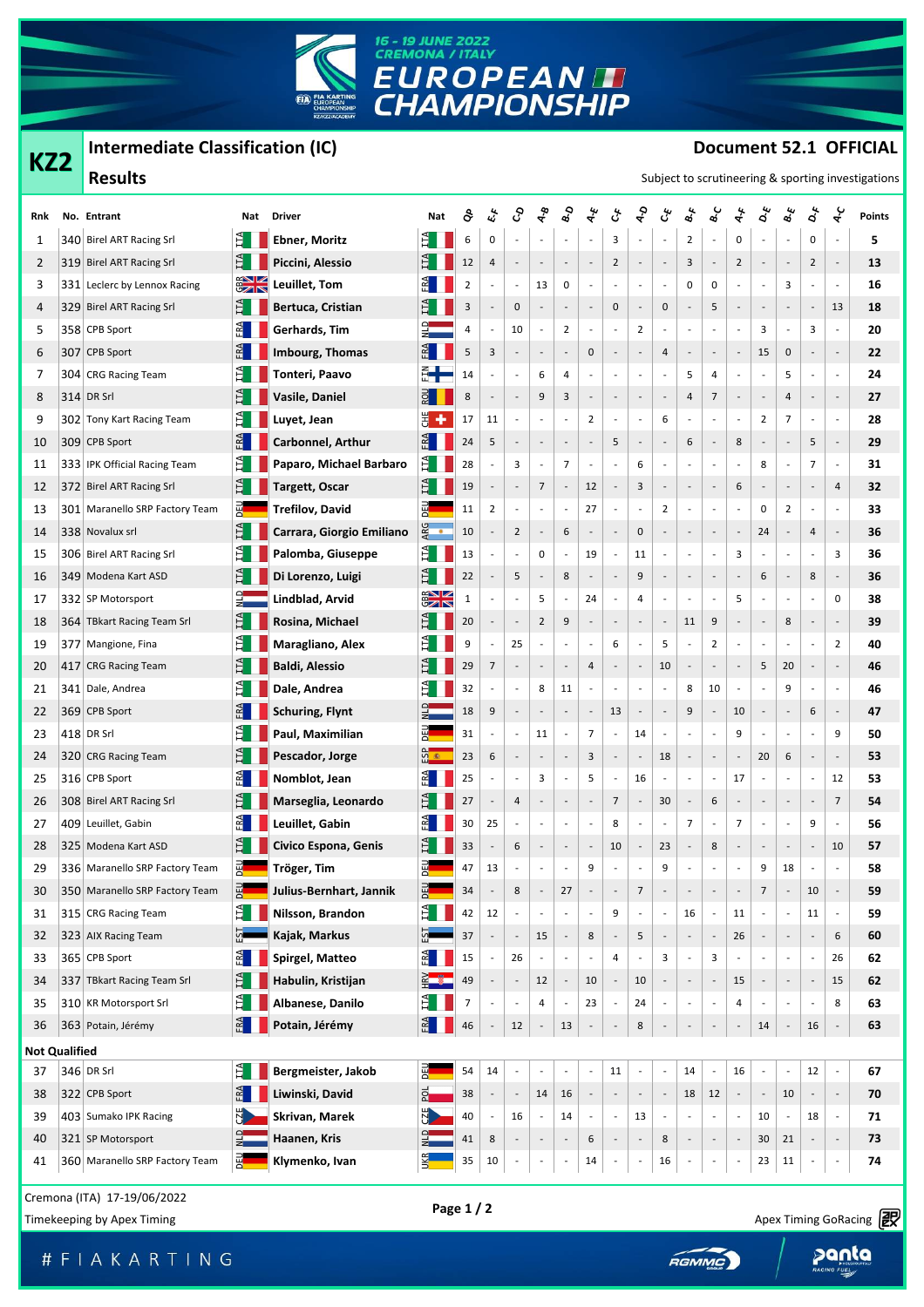

## **Intermediate Classification (IC)**

**KZ2**

## **Document 52.1 OFFICIAL**

| KZ2 | $m$ chnculate Classintation (IC)<br>CANCIN JEIL VIIIVIAL<br>Subject to scrutineering & sporting investigations                                                                                                                                                                                                                                                                                                                                                                                                                                                                                                                                                                                                                                                                                                                                                                                                                                                                                                                                                         |                                                                                                                                                                                                                                                                                                                                                                                                                                                                                                                                                                    |                                                                                                                                                        |                                                                                   |                          |                                |                                                                                                                                     |                                                                                            |                                                                                                                                                  |                                                                                                                        |                                                         |                                                                                                                                                                                                                              |                                                                                                                                                                                                                                                             |                                                                                                                                                                         |                                                                                                                                                                     |                                                                                                                                                                                           |                                                                                                                                                                                                                 |                                                                                                                                        |                                                                                                                                                                                                                                                                               |
|-----|------------------------------------------------------------------------------------------------------------------------------------------------------------------------------------------------------------------------------------------------------------------------------------------------------------------------------------------------------------------------------------------------------------------------------------------------------------------------------------------------------------------------------------------------------------------------------------------------------------------------------------------------------------------------------------------------------------------------------------------------------------------------------------------------------------------------------------------------------------------------------------------------------------------------------------------------------------------------------------------------------------------------------------------------------------------------|--------------------------------------------------------------------------------------------------------------------------------------------------------------------------------------------------------------------------------------------------------------------------------------------------------------------------------------------------------------------------------------------------------------------------------------------------------------------------------------------------------------------------------------------------------------------|--------------------------------------------------------------------------------------------------------------------------------------------------------|-----------------------------------------------------------------------------------|--------------------------|--------------------------------|-------------------------------------------------------------------------------------------------------------------------------------|--------------------------------------------------------------------------------------------|--------------------------------------------------------------------------------------------------------------------------------------------------|------------------------------------------------------------------------------------------------------------------------|---------------------------------------------------------|------------------------------------------------------------------------------------------------------------------------------------------------------------------------------------------------------------------------------|-------------------------------------------------------------------------------------------------------------------------------------------------------------------------------------------------------------------------------------------------------------|-------------------------------------------------------------------------------------------------------------------------------------------------------------------------|---------------------------------------------------------------------------------------------------------------------------------------------------------------------|-------------------------------------------------------------------------------------------------------------------------------------------------------------------------------------------|-----------------------------------------------------------------------------------------------------------------------------------------------------------------------------------------------------------------|----------------------------------------------------------------------------------------------------------------------------------------|-------------------------------------------------------------------------------------------------------------------------------------------------------------------------------------------------------------------------------------------------------------------------------|
|     |                                                                                                                                                                                                                                                                                                                                                                                                                                                                                                                                                                                                                                                                                                                                                                                                                                                                                                                                                                                                                                                                        |                                                                                                                                                                                                                                                                                                                                                                                                                                                                                                                                                                    |                                                                                                                                                        |                                                                                   |                          |                                |                                                                                                                                     |                                                                                            |                                                                                                                                                  |                                                                                                                        |                                                         |                                                                                                                                                                                                                              |                                                                                                                                                                                                                                                             |                                                                                                                                                                         |                                                                                                                                                                     |                                                                                                                                                                                           |                                                                                                                                                                                                                 |                                                                                                                                        |                                                                                                                                                                                                                                                                               |
|     | <b>Driver</b><br>Nat                                                                                                                                                                                                                                                                                                                                                                                                                                                                                                                                                                                                                                                                                                                                                                                                                                                                                                                                                                                                                                                   | Nat                                                                                                                                                                                                                                                                                                                                                                                                                                                                                                                                                                | ငံ                                                                                                                                                     | ئی                                                                                | ද                        | $\boldsymbol{\hat{\phi}}$      | $\mathbf{g}_\mathbf{Q}$                                                                                                             | $\star$                                                                                    | $\zeta^{\!\star}$                                                                                                                                | $\mathbf{e}^{\mathbf{b}}$                                                                                              | ین                                                      | $\mathbf{s}^{\star}$                                                                                                                                                                                                         | త                                                                                                                                                                                                                                                           | É                                                                                                                                                                       | ధ                                                                                                                                                                   | త                                                                                                                                                                                         | $\Delta^{\star}$                                                                                                                                                                                                | $\mathbf{r}$                                                                                                                           | <b>Points</b>                                                                                                                                                                                                                                                                 |
|     | LTA <sub>.</sub><br><b>Ebner, Moritz</b>                                                                                                                                                                                                                                                                                                                                                                                                                                                                                                                                                                                                                                                                                                                                                                                                                                                                                                                                                                                                                               | $\mathbb{H}$                                                                                                                                                                                                                                                                                                                                                                                                                                                                                                                                                       | 6                                                                                                                                                      | 0                                                                                 |                          | $\overline{a}$                 | $\overline{a}$                                                                                                                      | $\overline{a}$                                                                             | 3                                                                                                                                                |                                                                                                                        |                                                         | $\overline{2}$                                                                                                                                                                                                               | $\overline{a}$                                                                                                                                                                                                                                              | 0                                                                                                                                                                       | $\overline{\phantom{a}}$                                                                                                                                            | $\overline{\phantom{a}}$                                                                                                                                                                  | 0                                                                                                                                                                                                               | $\overline{\phantom{a}}$                                                                                                               | 5                                                                                                                                                                                                                                                                             |
|     | H<br>Piccini, Alessio                                                                                                                                                                                                                                                                                                                                                                                                                                                                                                                                                                                                                                                                                                                                                                                                                                                                                                                                                                                                                                                  |                                                                                                                                                                                                                                                                                                                                                                                                                                                                                                                                                                    | 12                                                                                                                                                     | 4                                                                                 |                          | $\overline{\phantom{a}}$       | $\overline{\phantom{a}}$                                                                                                            | $\centerdot$                                                                               | $\overline{2}$                                                                                                                                   | $\overline{\phantom{a}}$                                                                                               | $\overline{\phantom{a}}$                                | 3                                                                                                                                                                                                                            | $\overline{\phantom{a}}$                                                                                                                                                                                                                                    | $\overline{2}$                                                                                                                                                          | $\overline{\phantom{a}}$                                                                                                                                            | $\overline{\phantom{a}}$                                                                                                                                                                  | $\overline{2}$                                                                                                                                                                                                  | f,                                                                                                                                     | 13                                                                                                                                                                                                                                                                            |
|     | Leuillet, Tom                                                                                                                                                                                                                                                                                                                                                                                                                                                                                                                                                                                                                                                                                                                                                                                                                                                                                                                                                                                                                                                          |                                                                                                                                                                                                                                                                                                                                                                                                                                                                                                                                                                    | $\overline{2}$                                                                                                                                         |                                                                                   |                          | 13                             | 0                                                                                                                                   | ٠                                                                                          | $\overline{\phantom{a}}$                                                                                                                         |                                                                                                                        |                                                         | 0                                                                                                                                                                                                                            | 0                                                                                                                                                                                                                                                           | $\overline{\phantom{a}}$                                                                                                                                                | ٠                                                                                                                                                                   | 3                                                                                                                                                                                         | $\overline{\phantom{a}}$                                                                                                                                                                                        | $\overline{\phantom{a}}$                                                                                                               | 16                                                                                                                                                                                                                                                                            |
|     | Bertuca, Cristian                                                                                                                                                                                                                                                                                                                                                                                                                                                                                                                                                                                                                                                                                                                                                                                                                                                                                                                                                                                                                                                      |                                                                                                                                                                                                                                                                                                                                                                                                                                                                                                                                                                    | 3                                                                                                                                                      |                                                                                   | 0                        |                                |                                                                                                                                     |                                                                                            | 0                                                                                                                                                |                                                                                                                        | $\pmb{0}$                                               | $\overline{\phantom{a}}$                                                                                                                                                                                                     | 5                                                                                                                                                                                                                                                           | $\overline{\phantom{a}}$                                                                                                                                                | $\overline{\phantom{a}}$                                                                                                                                            | $\overline{\phantom{a}}$                                                                                                                                                                  | $\overline{\phantom{a}}$                                                                                                                                                                                        | 13                                                                                                                                     | 18                                                                                                                                                                                                                                                                            |
|     |                                                                                                                                                                                                                                                                                                                                                                                                                                                                                                                                                                                                                                                                                                                                                                                                                                                                                                                                                                                                                                                                        |                                                                                                                                                                                                                                                                                                                                                                                                                                                                                                                                                                    | 4                                                                                                                                                      |                                                                                   | 10                       | $\overline{a}$                 | $\overline{2}$                                                                                                                      | $\overline{a}$                                                                             | $\overline{\phantom{a}}$                                                                                                                         | $\overline{2}$                                                                                                         |                                                         | $\overline{\phantom{a}}$                                                                                                                                                                                                     | $\overline{a}$                                                                                                                                                                                                                                              | $\overline{\phantom{a}}$                                                                                                                                                | 3                                                                                                                                                                   | $\overline{\phantom{a}}$                                                                                                                                                                  | 3                                                                                                                                                                                                               | $\overline{\phantom{a}}$                                                                                                               | 20                                                                                                                                                                                                                                                                            |
|     |                                                                                                                                                                                                                                                                                                                                                                                                                                                                                                                                                                                                                                                                                                                                                                                                                                                                                                                                                                                                                                                                        |                                                                                                                                                                                                                                                                                                                                                                                                                                                                                                                                                                    | 5                                                                                                                                                      | 3                                                                                 |                          | $\overline{\phantom{a}}$       | $\overline{\phantom{a}}$                                                                                                            | 0                                                                                          | $\overline{\phantom{a}}$                                                                                                                         | $\overline{\phantom{a}}$                                                                                               | 4                                                       | $\overline{\phantom{a}}$                                                                                                                                                                                                     | $\overline{\phantom{a}}$                                                                                                                                                                                                                                    | $\overline{\phantom{a}}$                                                                                                                                                | 15                                                                                                                                                                  | 0                                                                                                                                                                                         | $\overline{\phantom{a}}$                                                                                                                                                                                        | $\overline{\phantom{a}}$                                                                                                               | 22                                                                                                                                                                                                                                                                            |
|     |                                                                                                                                                                                                                                                                                                                                                                                                                                                                                                                                                                                                                                                                                                                                                                                                                                                                                                                                                                                                                                                                        |                                                                                                                                                                                                                                                                                                                                                                                                                                                                                                                                                                    |                                                                                                                                                        |                                                                                   |                          |                                | 4                                                                                                                                   |                                                                                            |                                                                                                                                                  |                                                                                                                        |                                                         |                                                                                                                                                                                                                              |                                                                                                                                                                                                                                                             | $\overline{a}$                                                                                                                                                          | $\overline{\phantom{a}}$                                                                                                                                            |                                                                                                                                                                                           | $\overline{\phantom{a}}$                                                                                                                                                                                        | $\overline{\phantom{a}}$                                                                                                               | 24                                                                                                                                                                                                                                                                            |
|     |                                                                                                                                                                                                                                                                                                                                                                                                                                                                                                                                                                                                                                                                                                                                                                                                                                                                                                                                                                                                                                                                        |                                                                                                                                                                                                                                                                                                                                                                                                                                                                                                                                                                    |                                                                                                                                                        |                                                                                   |                          |                                |                                                                                                                                     |                                                                                            |                                                                                                                                                  |                                                                                                                        | $\overline{\phantom{a}}$                                |                                                                                                                                                                                                                              |                                                                                                                                                                                                                                                             | $\overline{\phantom{a}}$                                                                                                                                                |                                                                                                                                                                     |                                                                                                                                                                                           | $\overline{\phantom{a}}$                                                                                                                                                                                        |                                                                                                                                        | 27                                                                                                                                                                                                                                                                            |
|     |                                                                                                                                                                                                                                                                                                                                                                                                                                                                                                                                                                                                                                                                                                                                                                                                                                                                                                                                                                                                                                                                        |                                                                                                                                                                                                                                                                                                                                                                                                                                                                                                                                                                    |                                                                                                                                                        |                                                                                   |                          |                                |                                                                                                                                     |                                                                                            |                                                                                                                                                  |                                                                                                                        |                                                         |                                                                                                                                                                                                                              |                                                                                                                                                                                                                                                             |                                                                                                                                                                         |                                                                                                                                                                     |                                                                                                                                                                                           |                                                                                                                                                                                                                 |                                                                                                                                        | 28                                                                                                                                                                                                                                                                            |
|     |                                                                                                                                                                                                                                                                                                                                                                                                                                                                                                                                                                                                                                                                                                                                                                                                                                                                                                                                                                                                                                                                        |                                                                                                                                                                                                                                                                                                                                                                                                                                                                                                                                                                    |                                                                                                                                                        |                                                                                   |                          |                                |                                                                                                                                     |                                                                                            |                                                                                                                                                  |                                                                                                                        |                                                         |                                                                                                                                                                                                                              |                                                                                                                                                                                                                                                             |                                                                                                                                                                         |                                                                                                                                                                     |                                                                                                                                                                                           |                                                                                                                                                                                                                 |                                                                                                                                        | 29                                                                                                                                                                                                                                                                            |
|     |                                                                                                                                                                                                                                                                                                                                                                                                                                                                                                                                                                                                                                                                                                                                                                                                                                                                                                                                                                                                                                                                        |                                                                                                                                                                                                                                                                                                                                                                                                                                                                                                                                                                    |                                                                                                                                                        |                                                                                   |                          |                                |                                                                                                                                     |                                                                                            |                                                                                                                                                  |                                                                                                                        |                                                         |                                                                                                                                                                                                                              |                                                                                                                                                                                                                                                             |                                                                                                                                                                         |                                                                                                                                                                     |                                                                                                                                                                                           |                                                                                                                                                                                                                 |                                                                                                                                        | 31                                                                                                                                                                                                                                                                            |
|     |                                                                                                                                                                                                                                                                                                                                                                                                                                                                                                                                                                                                                                                                                                                                                                                                                                                                                                                                                                                                                                                                        |                                                                                                                                                                                                                                                                                                                                                                                                                                                                                                                                                                    |                                                                                                                                                        |                                                                                   |                          |                                |                                                                                                                                     |                                                                                            |                                                                                                                                                  |                                                                                                                        |                                                         |                                                                                                                                                                                                                              |                                                                                                                                                                                                                                                             |                                                                                                                                                                         |                                                                                                                                                                     |                                                                                                                                                                                           |                                                                                                                                                                                                                 |                                                                                                                                        | 32<br>33                                                                                                                                                                                                                                                                      |
|     |                                                                                                                                                                                                                                                                                                                                                                                                                                                                                                                                                                                                                                                                                                                                                                                                                                                                                                                                                                                                                                                                        |                                                                                                                                                                                                                                                                                                                                                                                                                                                                                                                                                                    |                                                                                                                                                        |                                                                                   |                          |                                |                                                                                                                                     |                                                                                            |                                                                                                                                                  |                                                                                                                        |                                                         |                                                                                                                                                                                                                              |                                                                                                                                                                                                                                                             |                                                                                                                                                                         |                                                                                                                                                                     |                                                                                                                                                                                           |                                                                                                                                                                                                                 |                                                                                                                                        | 36                                                                                                                                                                                                                                                                            |
|     |                                                                                                                                                                                                                                                                                                                                                                                                                                                                                                                                                                                                                                                                                                                                                                                                                                                                                                                                                                                                                                                                        |                                                                                                                                                                                                                                                                                                                                                                                                                                                                                                                                                                    |                                                                                                                                                        |                                                                                   |                          |                                |                                                                                                                                     |                                                                                            |                                                                                                                                                  |                                                                                                                        |                                                         |                                                                                                                                                                                                                              |                                                                                                                                                                                                                                                             |                                                                                                                                                                         |                                                                                                                                                                     |                                                                                                                                                                                           |                                                                                                                                                                                                                 |                                                                                                                                        | 36                                                                                                                                                                                                                                                                            |
|     |                                                                                                                                                                                                                                                                                                                                                                                                                                                                                                                                                                                                                                                                                                                                                                                                                                                                                                                                                                                                                                                                        |                                                                                                                                                                                                                                                                                                                                                                                                                                                                                                                                                                    |                                                                                                                                                        |                                                                                   |                          |                                |                                                                                                                                     |                                                                                            |                                                                                                                                                  |                                                                                                                        |                                                         |                                                                                                                                                                                                                              |                                                                                                                                                                                                                                                             |                                                                                                                                                                         |                                                                                                                                                                     |                                                                                                                                                                                           |                                                                                                                                                                                                                 |                                                                                                                                        | 36                                                                                                                                                                                                                                                                            |
|     |                                                                                                                                                                                                                                                                                                                                                                                                                                                                                                                                                                                                                                                                                                                                                                                                                                                                                                                                                                                                                                                                        |                                                                                                                                                                                                                                                                                                                                                                                                                                                                                                                                                                    |                                                                                                                                                        |                                                                                   |                          |                                | $\overline{\phantom{a}}$                                                                                                            |                                                                                            |                                                                                                                                                  |                                                                                                                        | $\blacksquare$                                          |                                                                                                                                                                                                                              | $\overline{\phantom{a}}$                                                                                                                                                                                                                                    |                                                                                                                                                                         | $\sim$                                                                                                                                                              |                                                                                                                                                                                           | $\overline{\phantom{a}}$                                                                                                                                                                                        |                                                                                                                                        | 38                                                                                                                                                                                                                                                                            |
|     |                                                                                                                                                                                                                                                                                                                                                                                                                                                                                                                                                                                                                                                                                                                                                                                                                                                                                                                                                                                                                                                                        |                                                                                                                                                                                                                                                                                                                                                                                                                                                                                                                                                                    |                                                                                                                                                        |                                                                                   |                          |                                |                                                                                                                                     |                                                                                            |                                                                                                                                                  |                                                                                                                        |                                                         |                                                                                                                                                                                                                              |                                                                                                                                                                                                                                                             |                                                                                                                                                                         |                                                                                                                                                                     |                                                                                                                                                                                           |                                                                                                                                                                                                                 |                                                                                                                                        | 39                                                                                                                                                                                                                                                                            |
|     |                                                                                                                                                                                                                                                                                                                                                                                                                                                                                                                                                                                                                                                                                                                                                                                                                                                                                                                                                                                                                                                                        |                                                                                                                                                                                                                                                                                                                                                                                                                                                                                                                                                                    |                                                                                                                                                        |                                                                                   |                          |                                |                                                                                                                                     |                                                                                            |                                                                                                                                                  |                                                                                                                        |                                                         | $\overline{\phantom{a}}$                                                                                                                                                                                                     |                                                                                                                                                                                                                                                             | $\overline{\phantom{a}}$                                                                                                                                                | $\overline{\phantom{a}}$                                                                                                                                            | $\overline{\phantom{a}}$                                                                                                                                                                  | $\overline{\phantom{a}}$                                                                                                                                                                                        |                                                                                                                                        | 40                                                                                                                                                                                                                                                                            |
|     |                                                                                                                                                                                                                                                                                                                                                                                                                                                                                                                                                                                                                                                                                                                                                                                                                                                                                                                                                                                                                                                                        |                                                                                                                                                                                                                                                                                                                                                                                                                                                                                                                                                                    | 29                                                                                                                                                     | 7                                                                                 |                          | $\overline{\phantom{a}}$       | ÷,                                                                                                                                  | 4                                                                                          | $\overline{\phantom{a}}$                                                                                                                         | $\overline{\phantom{a}}$                                                                                               | 10                                                      |                                                                                                                                                                                                                              | $\overline{\phantom{a}}$                                                                                                                                                                                                                                    | $\overline{\phantom{a}}$                                                                                                                                                | 5                                                                                                                                                                   | 20                                                                                                                                                                                        | $\overline{\phantom{a}}$                                                                                                                                                                                        |                                                                                                                                        | 46                                                                                                                                                                                                                                                                            |
|     | Ĕ<br>Dale, Andrea                                                                                                                                                                                                                                                                                                                                                                                                                                                                                                                                                                                                                                                                                                                                                                                                                                                                                                                                                                                                                                                      | H                                                                                                                                                                                                                                                                                                                                                                                                                                                                                                                                                                  | 32                                                                                                                                                     |                                                                                   |                          | 8                              | 11                                                                                                                                  | $\overline{\phantom{a}}$                                                                   | $\overline{\phantom{a}}$                                                                                                                         | $\overline{\phantom{a}}$                                                                                               | $\overline{\phantom{a}}$                                | 8                                                                                                                                                                                                                            | 10                                                                                                                                                                                                                                                          | $\overline{\phantom{a}}$                                                                                                                                                | $\overline{\phantom{a}}$                                                                                                                                            | 9                                                                                                                                                                                         | $\overline{\phantom{a}}$                                                                                                                                                                                        | $\overline{\phantom{a}}$                                                                                                               | 46                                                                                                                                                                                                                                                                            |
|     |                                                                                                                                                                                                                                                                                                                                                                                                                                                                                                                                                                                                                                                                                                                                                                                                                                                                                                                                                                                                                                                                        |                                                                                                                                                                                                                                                                                                                                                                                                                                                                                                                                                                    | 18                                                                                                                                                     | 9                                                                                 | $\overline{\phantom{a}}$ | $\overline{\phantom{a}}$       | ÷,                                                                                                                                  | $\overline{\phantom{a}}$                                                                   | 13                                                                                                                                               | $\overline{\phantom{a}}$                                                                                               | $\overline{\phantom{a}}$                                | 9                                                                                                                                                                                                                            | $\overline{\phantom{a}}$                                                                                                                                                                                                                                    | 10                                                                                                                                                                      | $\overline{\phantom{a}}$                                                                                                                                            | $\overline{\phantom{a}}$                                                                                                                                                                  | 6                                                                                                                                                                                                               |                                                                                                                                        | 47                                                                                                                                                                                                                                                                            |
|     | ЕÃ<br>Paul, Maximilian                                                                                                                                                                                                                                                                                                                                                                                                                                                                                                                                                                                                                                                                                                                                                                                                                                                                                                                                                                                                                                                 | 뎵                                                                                                                                                                                                                                                                                                                                                                                                                                                                                                                                                                  | 31                                                                                                                                                     |                                                                                   |                          | 11                             |                                                                                                                                     | 7                                                                                          | $\overline{\phantom{a}}$                                                                                                                         | 14                                                                                                                     |                                                         |                                                                                                                                                                                                                              | L,                                                                                                                                                                                                                                                          | 9                                                                                                                                                                       | ä,                                                                                                                                                                  | $\overline{\phantom{a}}$                                                                                                                                                                  | $\overline{\phantom{a}}$                                                                                                                                                                                        | 9                                                                                                                                      | 50                                                                                                                                                                                                                                                                            |
|     | Pescador, Jorge                                                                                                                                                                                                                                                                                                                                                                                                                                                                                                                                                                                                                                                                                                                                                                                                                                                                                                                                                                                                                                                        | $\frac{a}{\sqrt{2}}$                                                                                                                                                                                                                                                                                                                                                                                                                                                                                                                                               | 23                                                                                                                                                     | 6                                                                                 |                          |                                | $\overline{\phantom{a}}$                                                                                                            | 3                                                                                          | $\overline{\phantom{a}}$                                                                                                                         |                                                                                                                        | 18                                                      | $\overline{\phantom{a}}$                                                                                                                                                                                                     | $\overline{\phantom{a}}$                                                                                                                                                                                                                                    | $\overline{\phantom{a}}$                                                                                                                                                | 20                                                                                                                                                                  | 6                                                                                                                                                                                         | $\overline{\phantom{a}}$                                                                                                                                                                                        | $\overline{\phantom{a}}$                                                                                                               | 53                                                                                                                                                                                                                                                                            |
|     | FRA<br>Nomblot, Jean                                                                                                                                                                                                                                                                                                                                                                                                                                                                                                                                                                                                                                                                                                                                                                                                                                                                                                                                                                                                                                                   | FRA                                                                                                                                                                                                                                                                                                                                                                                                                                                                                                                                                                | 25                                                                                                                                                     |                                                                                   |                          | 3                              |                                                                                                                                     | 5                                                                                          | $\overline{\phantom{a}}$                                                                                                                         | 16                                                                                                                     | $\overline{\phantom{a}}$                                | $\overline{\phantom{a}}$                                                                                                                                                                                                     | $\overline{\phantom{a}}$                                                                                                                                                                                                                                    | 17                                                                                                                                                                      | $\overline{\phantom{a}}$                                                                                                                                            | $\overline{\phantom{a}}$                                                                                                                                                                  | $\overline{\phantom{a}}$                                                                                                                                                                                        | 12                                                                                                                                     | 53                                                                                                                                                                                                                                                                            |
|     | E<br>Marseglia, Leonardo                                                                                                                                                                                                                                                                                                                                                                                                                                                                                                                                                                                                                                                                                                                                                                                                                                                                                                                                                                                                                                               |                                                                                                                                                                                                                                                                                                                                                                                                                                                                                                                                                                    | 27                                                                                                                                                     |                                                                                   | 4                        |                                |                                                                                                                                     |                                                                                            | 7                                                                                                                                                | $\overline{\phantom{a}}$                                                                                               | 30                                                      | $\overline{\phantom{a}}$                                                                                                                                                                                                     | 6                                                                                                                                                                                                                                                           | $\overline{\phantom{a}}$                                                                                                                                                | $\overline{\phantom{a}}$                                                                                                                                            | $\overline{\phantom{a}}$                                                                                                                                                                  | $\overline{\phantom{a}}$                                                                                                                                                                                        | $\overline{7}$                                                                                                                         | 54                                                                                                                                                                                                                                                                            |
|     | FRA<br>Leuillet, Gabin                                                                                                                                                                                                                                                                                                                                                                                                                                                                                                                                                                                                                                                                                                                                                                                                                                                                                                                                                                                                                                                 | FA                                                                                                                                                                                                                                                                                                                                                                                                                                                                                                                                                                 | 30                                                                                                                                                     | 25                                                                                |                          | $\overline{\phantom{a}}$       | $\overline{\phantom{a}}$                                                                                                            | $\overline{\phantom{a}}$                                                                   | 8                                                                                                                                                |                                                                                                                        | $\overline{\phantom{a}}$                                | $\overline{7}$                                                                                                                                                                                                               | $\overline{\phantom{a}}$                                                                                                                                                                                                                                    | $\overline{7}$                                                                                                                                                          | $\overline{\phantom{a}}$                                                                                                                                            | $\overline{\phantom{a}}$                                                                                                                                                                  | 9                                                                                                                                                                                                               | $\overline{\phantom{a}}$                                                                                                               | 56                                                                                                                                                                                                                                                                            |
|     | E<br>Civico Espona, Genis                                                                                                                                                                                                                                                                                                                                                                                                                                                                                                                                                                                                                                                                                                                                                                                                                                                                                                                                                                                                                                              | $\mathbb{H}$                                                                                                                                                                                                                                                                                                                                                                                                                                                                                                                                                       | 33                                                                                                                                                     |                                                                                   | 6                        |                                |                                                                                                                                     |                                                                                            | 10                                                                                                                                               |                                                                                                                        | 23                                                      |                                                                                                                                                                                                                              | 8                                                                                                                                                                                                                                                           |                                                                                                                                                                         |                                                                                                                                                                     |                                                                                                                                                                                           |                                                                                                                                                                                                                 | 10                                                                                                                                     | 57                                                                                                                                                                                                                                                                            |
|     | Tröger, Tim                                                                                                                                                                                                                                                                                                                                                                                                                                                                                                                                                                                                                                                                                                                                                                                                                                                                                                                                                                                                                                                            |                                                                                                                                                                                                                                                                                                                                                                                                                                                                                                                                                                    | 47                                                                                                                                                     | 13                                                                                |                          |                                |                                                                                                                                     | 9                                                                                          | $\overline{\phantom{a}}$                                                                                                                         |                                                                                                                        | 9                                                       |                                                                                                                                                                                                                              | $\overline{a}$                                                                                                                                                                                                                                              | $\overline{a}$                                                                                                                                                          | 9                                                                                                                                                                   | 18                                                                                                                                                                                        | $\overline{\phantom{a}}$                                                                                                                                                                                        | $\overline{\phantom{a}}$                                                                                                               | 58                                                                                                                                                                                                                                                                            |
|     | DEU <sub></sub><br>Julius-Bernhart, Jannik                                                                                                                                                                                                                                                                                                                                                                                                                                                                                                                                                                                                                                                                                                                                                                                                                                                                                                                                                                                                                             |                                                                                                                                                                                                                                                                                                                                                                                                                                                                                                                                                                    | 34                                                                                                                                                     |                                                                                   | 8                        | $\overline{a}$                 | 27                                                                                                                                  |                                                                                            |                                                                                                                                                  | 7                                                                                                                      |                                                         |                                                                                                                                                                                                                              | $\overline{\phantom{a}}$                                                                                                                                                                                                                                    | $\overline{\phantom{a}}$                                                                                                                                                | 7                                                                                                                                                                   | $\overline{\phantom{a}}$                                                                                                                                                                  | 10                                                                                                                                                                                                              | $\overline{\phantom{a}}$                                                                                                               | 59                                                                                                                                                                                                                                                                            |
|     | $H_{\rm H}$<br>Nilsson, Brandon                                                                                                                                                                                                                                                                                                                                                                                                                                                                                                                                                                                                                                                                                                                                                                                                                                                                                                                                                                                                                                        | E                                                                                                                                                                                                                                                                                                                                                                                                                                                                                                                                                                  | 42                                                                                                                                                     | 12                                                                                |                          |                                |                                                                                                                                     |                                                                                            | 9                                                                                                                                                |                                                                                                                        | $\overline{\phantom{a}}$                                | 16                                                                                                                                                                                                                           |                                                                                                                                                                                                                                                             | 11                                                                                                                                                                      |                                                                                                                                                                     |                                                                                                                                                                                           | 11                                                                                                                                                                                                              | $\overline{\phantom{a}}$                                                                                                               | 59                                                                                                                                                                                                                                                                            |
|     | Kajak, Markus                                                                                                                                                                                                                                                                                                                                                                                                                                                                                                                                                                                                                                                                                                                                                                                                                                                                                                                                                                                                                                                          |                                                                                                                                                                                                                                                                                                                                                                                                                                                                                                                                                                    | 37                                                                                                                                                     |                                                                                   |                          | 15                             |                                                                                                                                     | 8                                                                                          |                                                                                                                                                  | 5                                                                                                                      | $\overline{\phantom{a}}$                                | $\overline{\phantom{a}}$                                                                                                                                                                                                     | $\overline{\phantom{a}}$                                                                                                                                                                                                                                    | 26                                                                                                                                                                      | f,                                                                                                                                                                  | ÷,                                                                                                                                                                                        | $\overline{\phantom{a}}$                                                                                                                                                                                        | 6                                                                                                                                      | 60                                                                                                                                                                                                                                                                            |
|     | FA<br>Spirgel, Matteo                                                                                                                                                                                                                                                                                                                                                                                                                                                                                                                                                                                                                                                                                                                                                                                                                                                                                                                                                                                                                                                  | FA                                                                                                                                                                                                                                                                                                                                                                                                                                                                                                                                                                 | 15                                                                                                                                                     |                                                                                   | 26                       |                                |                                                                                                                                     | $\overline{\phantom{a}}$                                                                   | 4                                                                                                                                                | $\overline{\phantom{a}}$                                                                                               | 3                                                       | $\overline{\phantom{a}}$                                                                                                                                                                                                     | 3                                                                                                                                                                                                                                                           |                                                                                                                                                                         | $\overline{\phantom{a}}$                                                                                                                                            | $\overline{\phantom{a}}$                                                                                                                                                                  | $\overline{\phantom{m}}$                                                                                                                                                                                        | 26                                                                                                                                     | 62                                                                                                                                                                                                                                                                            |
|     | Ĕ.<br>Habulin, Kristijan                                                                                                                                                                                                                                                                                                                                                                                                                                                                                                                                                                                                                                                                                                                                                                                                                                                                                                                                                                                                                                               |                                                                                                                                                                                                                                                                                                                                                                                                                                                                                                                                                                    | 49                                                                                                                                                     |                                                                                   | $\overline{\phantom{a}}$ | 12                             | $\overline{\phantom{a}}$                                                                                                            | 10                                                                                         | $\overline{\phantom{a}}$                                                                                                                         | 10                                                                                                                     | $\overline{\phantom{a}}$                                | $\overline{\phantom{a}}$                                                                                                                                                                                                     | $\overline{\phantom{a}}$                                                                                                                                                                                                                                    | 15                                                                                                                                                                      | $\overline{\phantom{a}}$                                                                                                                                            | $\overline{\phantom{a}}$                                                                                                                                                                  | $\overline{\phantom{a}}$                                                                                                                                                                                        | 15                                                                                                                                     | 62                                                                                                                                                                                                                                                                            |
|     | Albanese, Danilo                                                                                                                                                                                                                                                                                                                                                                                                                                                                                                                                                                                                                                                                                                                                                                                                                                                                                                                                                                                                                                                       |                                                                                                                                                                                                                                                                                                                                                                                                                                                                                                                                                                    | 7                                                                                                                                                      |                                                                                   |                          | 4                              |                                                                                                                                     | 23                                                                                         |                                                                                                                                                  | 24                                                                                                                     |                                                         | $\overline{a}$                                                                                                                                                                                                               |                                                                                                                                                                                                                                                             | 4                                                                                                                                                                       | $\overline{\phantom{a}}$                                                                                                                                            | $\overline{\phantom{a}}$                                                                                                                                                                  |                                                                                                                                                                                                                 | 8                                                                                                                                      | 63                                                                                                                                                                                                                                                                            |
|     | FAA<br>Potain, Jérémy                                                                                                                                                                                                                                                                                                                                                                                                                                                                                                                                                                                                                                                                                                                                                                                                                                                                                                                                                                                                                                                  | FA                                                                                                                                                                                                                                                                                                                                                                                                                                                                                                                                                                 | 46                                                                                                                                                     |                                                                                   | 12                       |                                | 13                                                                                                                                  |                                                                                            |                                                                                                                                                  | 8                                                                                                                      |                                                         |                                                                                                                                                                                                                              |                                                                                                                                                                                                                                                             | $\overline{\phantom{a}}$                                                                                                                                                | 14                                                                                                                                                                  | $\overline{\phantom{a}}$                                                                                                                                                                  | 16                                                                                                                                                                                                              | $\overline{\phantom{a}}$                                                                                                               | 63                                                                                                                                                                                                                                                                            |
|     |                                                                                                                                                                                                                                                                                                                                                                                                                                                                                                                                                                                                                                                                                                                                                                                                                                                                                                                                                                                                                                                                        |                                                                                                                                                                                                                                                                                                                                                                                                                                                                                                                                                                    |                                                                                                                                                        |                                                                                   |                          |                                |                                                                                                                                     |                                                                                            |                                                                                                                                                  |                                                                                                                        |                                                         |                                                                                                                                                                                                                              |                                                                                                                                                                                                                                                             |                                                                                                                                                                         |                                                                                                                                                                     |                                                                                                                                                                                           |                                                                                                                                                                                                                 |                                                                                                                                        |                                                                                                                                                                                                                                                                               |
|     | EL.<br>Bergmeister, Jakob                                                                                                                                                                                                                                                                                                                                                                                                                                                                                                                                                                                                                                                                                                                                                                                                                                                                                                                                                                                                                                              | 메                                                                                                                                                                                                                                                                                                                                                                                                                                                                                                                                                                  | 54                                                                                                                                                     | 14                                                                                | $\overline{\phantom{a}}$ | $\overline{a}$                 |                                                                                                                                     | $\overline{\phantom{a}}$                                                                   | 11                                                                                                                                               | $\overline{\phantom{a}}$                                                                                               | $\overline{\phantom{a}}$                                | 14                                                                                                                                                                                                                           | $\overline{\phantom{a}}$                                                                                                                                                                                                                                    | 16                                                                                                                                                                      | $\overline{\phantom{a}}$                                                                                                                                            | $\overline{\phantom{a}}$                                                                                                                                                                  | 12                                                                                                                                                                                                              | $\overline{\phantom{a}}$                                                                                                               | 67                                                                                                                                                                                                                                                                            |
|     | Liwinski, David                                                                                                                                                                                                                                                                                                                                                                                                                                                                                                                                                                                                                                                                                                                                                                                                                                                                                                                                                                                                                                                        |                                                                                                                                                                                                                                                                                                                                                                                                                                                                                                                                                                    | 38                                                                                                                                                     |                                                                                   |                          | 14                             | 16                                                                                                                                  |                                                                                            | $\overline{\phantom{a}}$                                                                                                                         |                                                                                                                        | ۰                                                       | 18                                                                                                                                                                                                                           | 12                                                                                                                                                                                                                                                          | $\overline{\phantom{a}}$                                                                                                                                                | f                                                                                                                                                                   | 10                                                                                                                                                                                        | $\overline{\phantom{a}}$                                                                                                                                                                                        | $\overline{\phantom{a}}$                                                                                                               | 70                                                                                                                                                                                                                                                                            |
|     | Skrivan, Marek                                                                                                                                                                                                                                                                                                                                                                                                                                                                                                                                                                                                                                                                                                                                                                                                                                                                                                                                                                                                                                                         |                                                                                                                                                                                                                                                                                                                                                                                                                                                                                                                                                                    | 40                                                                                                                                                     |                                                                                   | 16                       |                                | 14                                                                                                                                  |                                                                                            | $\overline{\phantom{a}}$                                                                                                                         | 13                                                                                                                     |                                                         |                                                                                                                                                                                                                              | $\overline{\phantom{a}}$                                                                                                                                                                                                                                    | $\overline{\phantom{a}}$                                                                                                                                                | 10                                                                                                                                                                  | $\overline{\phantom{a}}$                                                                                                                                                                  | 18                                                                                                                                                                                                              | $\overline{\phantom{a}}$                                                                                                               | 71                                                                                                                                                                                                                                                                            |
|     |                                                                                                                                                                                                                                                                                                                                                                                                                                                                                                                                                                                                                                                                                                                                                                                                                                                                                                                                                                                                                                                                        |                                                                                                                                                                                                                                                                                                                                                                                                                                                                                                                                                                    | 41                                                                                                                                                     | 8                                                                                 | $\overline{\phantom{a}}$ | $\overline{\phantom{a}}$       | $\overline{\phantom{a}}$                                                                                                            | 6                                                                                          | $\overline{\phantom{a}}$                                                                                                                         | $\overline{\phantom{a}}$                                                                                               | 8                                                       | ÷,                                                                                                                                                                                                                           | ÷.                                                                                                                                                                                                                                                          | $\overline{\phantom{a}}$                                                                                                                                                | 30                                                                                                                                                                  | 21                                                                                                                                                                                        | $\overline{\phantom{a}}$                                                                                                                                                                                        | F                                                                                                                                      | 73                                                                                                                                                                                                                                                                            |
|     | Klymenko, Ivan                                                                                                                                                                                                                                                                                                                                                                                                                                                                                                                                                                                                                                                                                                                                                                                                                                                                                                                                                                                                                                                         |                                                                                                                                                                                                                                                                                                                                                                                                                                                                                                                                                                    | 35                                                                                                                                                     | 10                                                                                |                          | $\overline{\phantom{a}}$       | $\overline{\phantom{a}}$                                                                                                            | 14                                                                                         | $\overline{\phantom{a}}$                                                                                                                         | $\overline{\phantom{a}}$                                                                                               | 16                                                      | $\overline{\phantom{a}}$                                                                                                                                                                                                     | $\overline{a}$                                                                                                                                                                                                                                              | $\overline{\phantom{m}}$                                                                                                                                                | 23                                                                                                                                                                  | 11                                                                                                                                                                                        | $\overline{\phantom{a}}$                                                                                                                                                                                        | $\overline{\phantom{a}}$                                                                                                               | 74                                                                                                                                                                                                                                                                            |
|     | <b>Results</b><br>No. Entrant<br>340 Birel ART Racing Srl<br>319 Birel ART Racing Srl<br>331 Leclerc by Lennox Racing<br>329 Birel ART Racing Srl<br>358 CPB Sport<br>307 CPB Sport<br>304 CRG Racing Team<br>314 DR Srl<br>302 Tony Kart Racing Team<br>309 CPB Sport<br>333 IPK Official Racing Team<br>372 Birel ART Racing Srl<br>301 Maranello SRP Factory Team<br>338 Novalux srl<br>306 Birel ART Racing Srl<br>349 Modena Kart ASD<br>332 SP Motorsport<br>364 TBkart Racing Team Srl<br>377 Mangione, Fina<br>417 CRG Racing Team<br>341 Dale, Andrea<br>369 CPB Sport<br>418 DR Srl<br>320 CRG Racing Team<br>316 CPB Sport<br>308 Birel ART Racing Srl<br>409 Leuillet, Gabin<br>325 Modena Kart ASD<br>336 Maranello SRP Factory Team<br>350 Maranello SRP Factory Team<br>315 CRG Racing Team<br>323 AIX Racing Team<br>365 CPB Sport<br>337 TBkart Racing Team Srl<br>310 KR Motorsport Srl<br>363 Potain, Jérémy<br><b>Not Qualified</b><br>346 DR Srl<br>322 CPB Sport<br>403 Sumako IPK Racing<br>321 SP Motorsport<br>360 Maranello SRP Factory Team | $\frac{2}{3}$<br>$F_{\rm H}$<br>FA<br>Gerhards, Tim<br>$E^{\mathbf{A}}$<br>Imbourg, Thomas<br>Tonteri, Paavo<br><b>TTA</b><br>Vasile, Daniel<br>E.<br>Luyet, Jean<br>FRA<br>Carbonnel, Arthur<br>E.<br>Paparo, Michael Barbaro<br>$E_{\rm H}$<br>Targett, Oscar<br>몗<br><b>Trefilov, David</b><br>ETA<br>Carrara, Giorgio Emiliano<br>$H_{\rm I}$<br>Palomba, Giuseppe<br>E<br>Di Lorenzo, Luigi<br>Lindblad, Arvid<br>ГI<br>Rosina, Michael<br>É<br>Maragliano, Alex<br>H<br><b>Baldi, Alessio</b><br>FRA<br><b>Schuring, Flynt</b><br>$E =$<br>Haanen, Kris<br>메 | FA<br>FA<br>┋╋═<br>$rac{1}{2}$<br>₩.<br>FRA<br><b>TTA</b><br>IТА<br>$p_{\text{E}}$<br>ARG<br>•<br><b>ETA</b><br>H<br>$\frac{1}{2}$<br>Ě<br>Ĥ<br>E<br>핢 | 14<br>8<br>17<br>24<br>28<br>19<br>11<br>10<br>13<br>22<br>$\mathbf 1$<br>20<br>9 | 11<br>5<br>2             | 3<br>$\overline{2}$<br>5<br>25 | 6<br>9<br>$\overline{\phantom{a}}$<br>$\overline{a}$<br>7<br>$\overline{a}$<br>0<br>$\overline{\phantom{a}}$<br>5<br>$\overline{2}$ | 3<br>$\overline{\phantom{a}}$<br>$\overline{7}$<br>$\overline{\phantom{a}}$<br>6<br>8<br>9 | $\overline{2}$<br>$\overline{\phantom{a}}$<br>$\overline{a}$<br>12<br>27<br>$\overline{\phantom{m}}$<br>19<br>$\qquad \qquad \blacksquare$<br>24 | 5<br>$\overline{\phantom{a}}$<br>$\overline{\phantom{a}}$<br>$\overline{\phantom{a}}$<br>$\overline{\phantom{a}}$<br>6 | 6<br>3<br>0<br>11<br>9<br>4<br>$\overline{\phantom{a}}$ | 6<br>$\overline{\phantom{a}}$<br>$\overline{\phantom{a}}$<br>$\overline{\phantom{a}}$<br>$\overline{2}$<br>$\overline{\phantom{a}}$<br>$\overline{\phantom{a}}$<br>$\overline{\phantom{a}}$<br>$\overline{\phantom{a}}$<br>5 | 5<br>4<br>$\overline{\phantom{a}}$<br>6<br>$\overline{\phantom{a}}$<br>$\overline{\phantom{a}}$<br>$\overline{\phantom{a}}$<br>$\overline{\phantom{a}}$<br>$\sim$<br>$\overline{\phantom{a}}$<br>$\overline{\phantom{a}}$<br>11<br>$\overline{\phantom{a}}$ | 4<br>7<br>÷,<br>Ť,<br>$\overline{a}$<br>$\overline{\phantom{a}}$<br>$\overline{a}$<br>$\overline{\phantom{a}}$<br>÷,<br>$\overline{\phantom{a}}$<br>9<br>$\overline{2}$ | $\overline{\phantom{a}}$<br>8<br>$\overline{a}$<br>6<br>$\frac{1}{2}$<br>$\overline{\phantom{a}}$<br>3<br>$\overline{\phantom{a}}$<br>5<br>$\overline{\phantom{a}}$ | $\overline{\phantom{a}}$<br>$\overline{2}$<br>$\overline{\phantom{a}}$<br>8<br>$\overline{\phantom{a}}$<br>$\mathsf 0$<br>24<br>$\overline{\phantom{a}}$<br>6<br>$\overline{\phantom{a}}$ | 5<br>4<br>$\overline{7}$<br>$\overline{\phantom{a}}$<br>$\overline{\phantom{a}}$<br>$\overline{\phantom{a}}$<br>$\overline{2}$<br>$\overline{\phantom{a}}$<br>$\sim$<br>$\overline{\phantom{a}}$<br>$\sim$<br>8 | ÷,<br>5<br>7<br>$\overline{\phantom{a}}$<br>$\overline{\phantom{a}}$<br>4<br>$\overline{\phantom{a}}$<br>8<br>$\overline{\phantom{m}}$ | $\overline{\phantom{a}}$<br>$\sim$<br>$\overline{\phantom{a}}$<br>$\overline{\phantom{a}}$<br>4<br>$\overline{\phantom{a}}$<br>$\overline{\phantom{a}}$<br>3<br>$\overline{\phantom{a}}$<br>0<br>$\overline{\phantom{a}}$<br>$\overline{2}$<br>$\overline{\phantom{a}}$<br>f, |

# F | A K A R T | N G

Apex Timing - drive your success https://www.apex-timing.com/